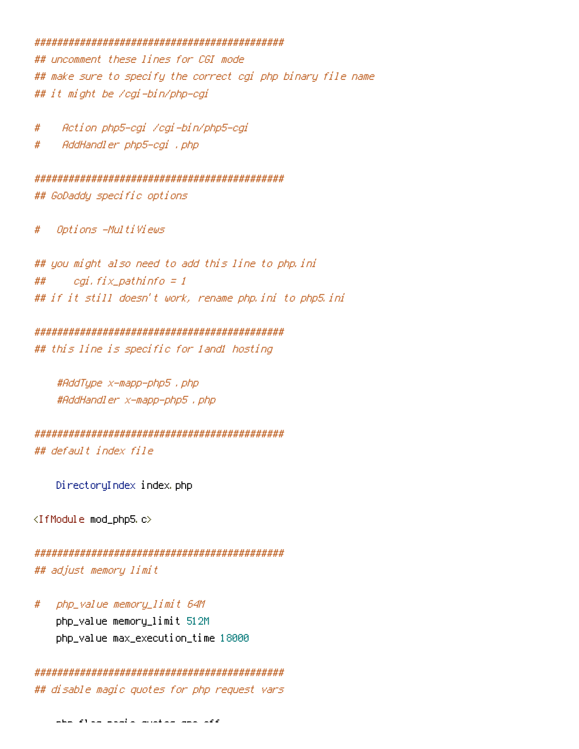## 

## uncomment these lines for CGI mode ## make sure to specify the correct cgi php binary file name ## it might be /cgi-bin/php-cgi

Action php5-egi /egi-bin/php5-egi #

AddHandler php5-cgi , php #

## GoDaddy specific options

Options -Multiviews  $#$ 

## you might also need to add this line to php.ini ## cgi, fix\_pathinfo = 1 ## if it still doesn't work, rename php.ini to php5.ini

### 

## this line is specific for land1 hosting

#AddType x-mapp-php5 . php #AddHandler x-mapp-php5, php

## default index file

DirectoryIndex index.php

<IfModule mod\_php5.c>

```
## adjust memory limit
```
php\_value memory\_limit 64M # php\_value memory\_limit 512M php\_value max\_execution\_time 18000

```
## disable magic quotes for php request vars
```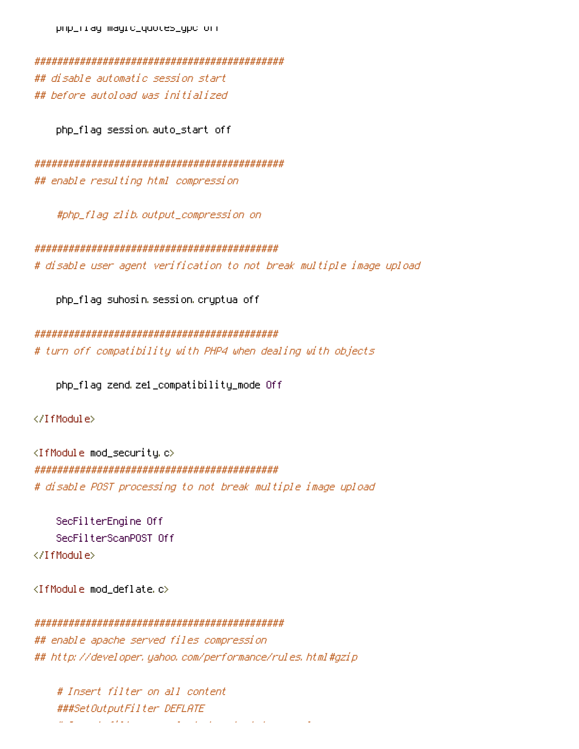pnp\_riag magic\_quotes\_gpc orr

## disable automatic session start ## before autoload was initialized

php\_flag session auto\_start off

## enable resulting html compression

#php\_flag\_zlib.output\_compression\_on

# disable user agent verification to not break multiple image upload

php\_flag suhosin session cryptua off

# turn off compatibility with PHP4 when dealing with objects

php\_flag zend ze1\_compatibility\_mode Off

</IfModule>

<IfModule mod\_security.c> # disable POST processing to not break multiple image upload

SecFilterEngine Off SecFilterScanPOST Off </IfModule>

<IfModule mod deflate.c>

```
## enable apache served files compression
## http://developer.yahoo.com/performance/rules.html#qzip
```
# Insert filter on all content ###SetOutputFilter DEFLATE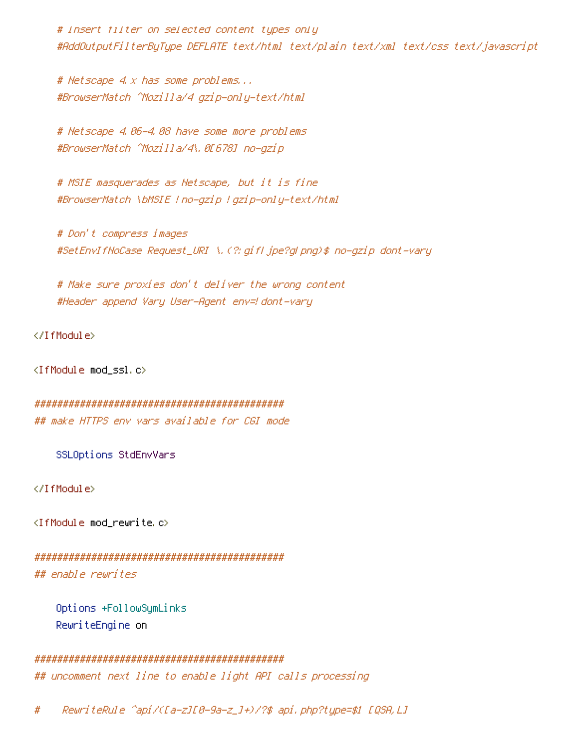# Insert filter on selected content types only #AddOutputFilterByType DEFLATE text/html text/plain text/xml text/css text/javascript

# Netscape 4.x has some problems... #BrowserMatch ^Mozilla/4 gzip-only-text/html

# Netscape 4.06-4.08 have some more problems #BrowserMatch ^Mozilla/4\.0[678] no-gzip

# MSIE masquerades as Netscape, but it is fine #BrowserMatch \bMSIE ! no-gzip ! gzip-only-text/html

# Don't compress images #SetEnvIfNoCase Request\_URI \,(?; gifl jpe?gl png)\$ no-gzip dont-vary

# Make sure proxies don't deliver the wrong content #Header append Vary User-Agent env=! dont-vary

</IfModule>

<IfModule mod\_ssl.c>

```
## make HTTPS env vars available for CGI mode
```
SSLOptions StdEnvVars

</IfModule>

<IfModule mod\_rewrite.c>

## enable rewrites

Options +FollowSymLinks RewriteEngine on

## 

## uncomment next line to enable light API calls processing

RewriteRule ^api/([a-z][0-9a-z\_]+)/?\$ api.php?type=\$1 [QSA,L] #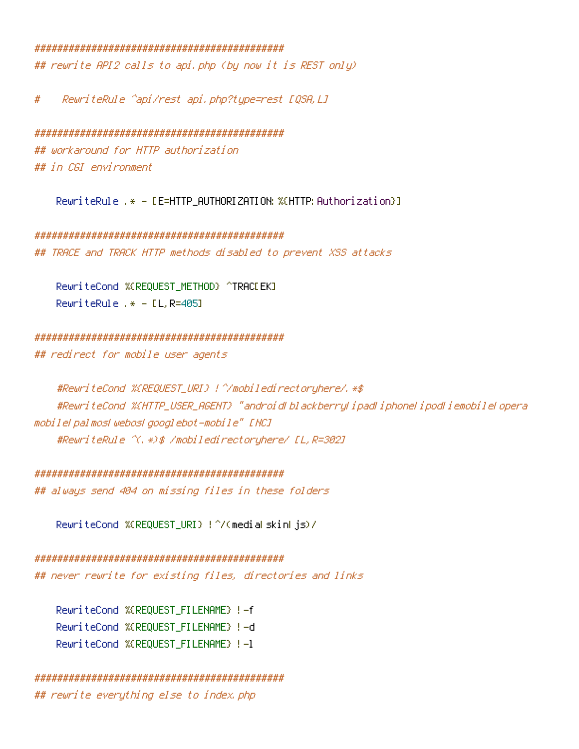#### 

## rewrite API2 calls to api.php (by now it is REST only)

# RewriteRule ^api/rest api.php?type=rest [QSA,L]

# ## workaround for HTTP authorization ## in CGI environment

RewriteRule .\* - [E=HTTP\_AUTHORIZATION:%(HTTP:Authorization}]

## TRACE and TRACK HTTP methods disabled to prevent XSS attacks

RewriteCond %(REQUEST\_METHOD) ^TRACLEK] RewriteRule .\* -  $[L, R=405]$ 

# 

## redirect for mobile user agents

#RewriteCond %(HTTP\_USER\_AGENT) "android| blackberry| ipad| iphone| ipod| iemobile| opera mobile palmos webos googlebot-mobile" [NC] #RewriteRule ^(, \*)\$ /mobiledirectoryhere/ [L, R=302]

## always send 404 on missing files in these folders

RewriteCond %(REQUEST\_URI) !^/(mediaLskinLjs)/

## never rewrite for existing files, directories and links

RewriteCond %(REQUEST FILENAME) !- f RewriteCond %(REQUEST FILENAME) !-d RewriteCond %(REQUEST FILENAME) !- 1

## rewrite everything else to index.php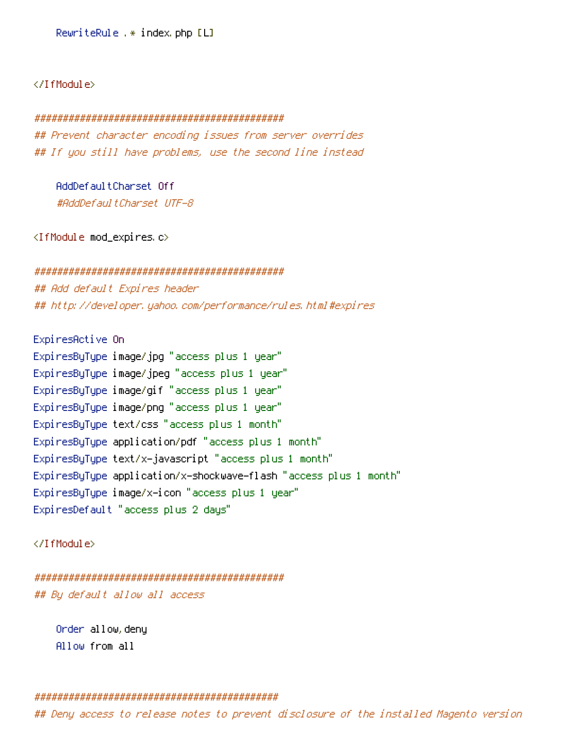RewriteRule .\* index.php [L]

</IfModule>

#### ############################################

## Prevent character encoding issues from server overrides ## If you still have problems, use the second line instead

AddDefaultCharset Off #AddDefaultCharset UTF-8

<IfModule mod\_expires.c>

############################################ ## Add default Expires header ## http://developer.yahoo.com/performance/rules.html#expires

ExpiresActive On ExpiresByType image/jpg "access plus 1 year" ExpiresByType image/jpeg "access plus 1 year" ExpiresByType image/gif "access plus 1 year" ExpiresByType image/png "access plus 1 year" ExpiresByType text/css "access plus 1 month" ExpiresByType application/pdf "access plus 1 month" ExpiresByType text/x-javascript "access plus 1 month" ExpiresByType application/x-shockwave-flash "access plus 1 month" ExpiresByType image/x-icon "access plus 1 year" ExpiresDefault "access plus 2 days"

</IfModule>

############################################ ## By default allow all access

Order allow,deny Allow from all

## ###########################################

## Deny access to release notes to prevent disclosure of the installed Magento version